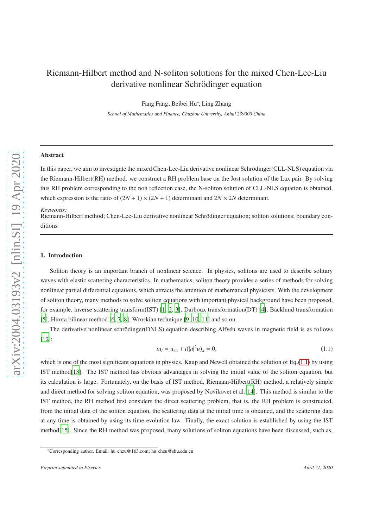# Riemann-Hilbert method and N-soliton solutions for the mixed Chen-Lee-Liu derivative nonlinear Schrödinger equation

Fang Fang, Beibei Hu<sup>∗</sup> , Ling Zhang

*School of Mathematics and Finance, Chuzhou University, Anhui 239000 China*

### Abstract

In this paper, we aim to investigate the mixed Chen-Lee-Liu derivative nonlinear Schrödinger(CLL-NLS) equation via the Riemann-Hilbert(RH) method. we construct a RH problem base on the Jost solution of the Lax pair. By solving this RH problem corresponding to the non reflection case, the N-soliton solution of CLL-NLS equation is obtained, which expression is the ratio of  $(2N + 1) \times (2N + 1)$  determinant and  $2N \times 2N$  determinant.

#### *Keywords:*

Riemann-Hilbert method; Chen-Lee-Liu derivative nonlinear Schrödinger equation; soliton solutions; boundary conditions

# 1. Introduction

Soliton theory is an important branch of nonlinear science. In physics, solitons are used to describe solitary waves with elastic scattering characteristics. In mathematics, soliton theory provides a series of methods for solving nonlinear partial differential equations, which attracts the attention of mathematical physicists. With the development of soliton theory, many methods to solve soliton equations with important physical background have been proposed, for example, inverse scattering transform $(IST)$  [\[1,](#page-9-0) [2](#page-9-1), [3\]](#page-9-2), Darboux transformation(DT) [\[4\]](#page-9-3), Bäcklund transformation [\[5\]](#page-9-4), Hirota bilinear method [\[6,](#page-9-5) [7,](#page-9-6) [8\]](#page-9-7), Wroskian technique [\[9,](#page-9-8) [10,](#page-9-9) [11\]](#page-9-10) and so on.

The derivative nonlinear schrödinger(DNLS) equation describing Alfvén waves in magnetic field is as follows [\[12\]](#page-9-11):

<span id="page-0-0"></span>
$$
i u_t = u_{xx} + i(|u|^2 u)_x = 0,
$$
\n(1.1)

which is one of the most significant equations in physics. Kaup and Newell obtained the solution of Eq.[\(1.1\)](#page-0-0) by using IST method[\[13](#page-9-12)]. The IST method has obvious advantages in solving the initial value of the soliton equation, but its calculation is large. Fortunately, on the basis of IST method, Riemann-Hilbert(RH) method, a relatively simple and direct method for solving soliton equation, was proposed by Novikovet et al.[\[14\]](#page-9-13). This method is similar to the IST method, the RH method first considers the direct scattering problem, that is, the RH problem is constructed, from the initial data of the soliton equation, the scattering data at the initial time is obtained, and the scattering data at any time is obtained by using its time evolution law. Finally, the exact solution is established by using the IST method[\[15\]](#page-9-14). Since the RH method was proposed, many solutions of soliton equations have been discussed, such as,

<sup>∗</sup>Corresponding author. Email: hu chzu@163.com; hu chzu@shu.edu.cn

*Preprint submitted to Elsevier April 21, 2020*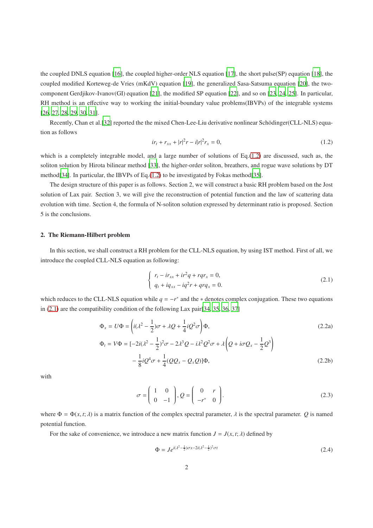the coupled DNLS equation [\[16](#page-9-15)], the coupled higher-order NLS equation [\[17](#page-9-16)], the short pulse(SP) equation [\[18](#page-9-17)], the coupled modified Korteweg-de Vries (mKdV) equation [\[19\]](#page-9-18), the generalized Sasa-Satsuma equation [\[20](#page-10-0)], the twocomponent Gerdjikov-Ivanov(GI) equation [\[21](#page-10-1)], the modified SP equation [\[22\]](#page-10-2), and so on [\[23](#page-10-3), [24](#page-10-4), [25](#page-10-5)]. In particular, RH method is an effective way to working the initial-boundary value problems(IBVPs) of the integrable systems [\[26,](#page-10-6) [27,](#page-10-7) [28,](#page-10-8) [29,](#page-10-9) [30,](#page-10-10) [31\]](#page-10-11).

Recently, Chan et al.[\[32](#page-10-12)] reported the the mixed Chen-Lee-Liu derivative nonlinear Schödinger(CLL-NLS) equation as follows

<span id="page-1-0"></span>
$$
ir_t + r_{xx} + |r|^2 r - i|r|^2 r_x = 0,
$$
\n(1.2)

which is a completely integrable model, and a large number of solutions of Eq.[\(1.2\)](#page-1-0) are discussed, such as, the soliton solution by Hirota bilinear method [\[33\]](#page-10-13), the higher-order soliton, breathers, and rogue wave solutions by DT method[\[34\]](#page-10-14). In particular, the IBVPs of Eq.[\(1.2\)](#page-1-0) to be investigated by Fokas method[\[35\]](#page-10-15).

The design structure of this paper is as follows. Section 2, we will construct a basic RH problem based on the Jost solution of Lax pair. Section 3, we will give the reconstruction of potential function and the law of scattering data evolution with time. Section 4, the formula of N-soliton solution expressed by determinant ratio is proposed. Section 5 is the conclusions.

### 2. The Riemann-Hilbert problem

In this section, we shall construct a RH problem for the CLL-NLS equation, by using IST method. First of all, we introduce the coupled CLL-NLS equation as following:

<span id="page-1-2"></span><span id="page-1-1"></span>
$$
\begin{cases}\nr_t - ir_{xx} + ir^2q + rqr_x = 0, \\
q_t + iq_{xx} - iq^2r + qrq_x = 0.\n\end{cases}
$$
\n(2.1)

which reduces to the CLL-NLS equation while  $q = -r^*$  and the  $*$  denotes complex conjugation. These two equations in [\(2.1\)](#page-1-1) are the compatibility condition of the following Lax pair[\[34,](#page-10-14) [35,](#page-10-15) [36,](#page-10-16) [37\]](#page-10-17)

$$
\Phi_x = U\Phi = \left(i(\lambda^2 - \frac{1}{2})\sigma + \lambda Q + \frac{1}{4}iQ^2\sigma\right)\Phi,
$$
\n
$$
\Phi_t = V\Phi = [-2i(\lambda^2 - \frac{1}{2})^2\sigma - 2\lambda^3Q - i\lambda^2Q^2\sigma + \lambda\left(Q + i\sigma Q_x - \frac{1}{2}Q^3\right) - \frac{1}{8}iQ^4\sigma + \frac{1}{4}(QQ_x - Q_xQ)]\Phi,
$$
\n(2.2b)

with

<span id="page-1-3"></span>
$$
\sigma = \begin{pmatrix} 1 & 0 \\ 0 & -1 \end{pmatrix}, Q = \begin{pmatrix} 0 & r \\ -r^* & 0 \end{pmatrix}.
$$
 (2.3)

where  $\Phi = \Phi(x, t; \lambda)$  is a matrix function of the complex spectral parameter,  $\lambda$  is the spectral parameter. *Q* is named potential function.

For the sake of convenience, we introduce a new matrix function  $J = J(x, t; \lambda)$  defined by

<span id="page-1-4"></span>
$$
\Phi = Je^{i(\lambda^2 - \frac{1}{2})\sigma x - 2i(\lambda^2 - \frac{1}{2})^2 \sigma t}
$$
\n(2.4)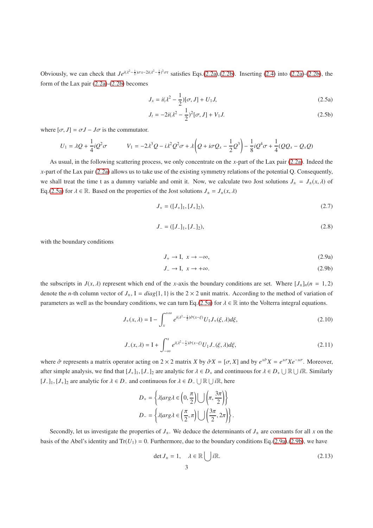Obviously, we can check that  $Je^{i(\lambda^2-\frac{1}{2})\sigma_x-2i(\lambda^2-\frac{1}{2})^2\sigma t}$  satisfies Eqs.[\(2.2a\)](#page-1-2),[\(2.2b\)](#page-1-3). Inserting [\(2.4\)](#page-1-4) into [\(2.2a\)](#page-1-2)-(2.2b), the form of the Lax pair [\(2.2a\)](#page-1-2)-[\(2.2b\)](#page-1-3) becomes

$$
J_x = i(\lambda^2 - \frac{1}{2})[\sigma, J] + U_1 J,\tag{2.5a}
$$

<span id="page-2-6"></span><span id="page-2-0"></span>
$$
J_t = -2i(\lambda^2 - \frac{1}{2})^2[\sigma, J] + V_1 J.
$$
 (2.5b)

where  $[\sigma, J] = \sigma J - J\sigma$  is the commutator.

$$
U_1 = \lambda Q + \frac{1}{4}iQ^2\sigma
$$
\n
$$
V_1 = -2\lambda^3 Q - i\lambda^2 Q^2\sigma + \lambda \left(Q + i\sigma Q_x - \frac{1}{2}Q^3\right) - \frac{1}{8}iQ^4\sigma + \frac{1}{4}(QQ_x - Q_xQ)
$$

As usual, in the following scattering process, we only concentrate on the *x*-part of the Lax pair [\(2.2a\)](#page-1-2). Indeed the *x*-part of the Lax pair [\(2.2a\)](#page-1-2) allows us to take use of the existing symmetry relations of the potential Q. Consequently, we shall treat the time t as a dummy variable and omit it. Now, we calculate two Jost solutions  $J_{\pm} = J_{\pm}(x, \lambda)$  of Eq.[\(2.5a\)](#page-2-0) for  $\lambda \in \mathbb{R}$ . Based on the properties of the Jost solutions  $J_{\pm} = J_{\pm}(x, \lambda)$ 

$$
J_{+} = ([J_{+}]_{1}, [J_{+}]_{2}), \tag{2.7}
$$

$$
J_{-} = ([J_{-}]_1, [J_{-}]_2), \tag{2.8}
$$

with the boundary conditions

<span id="page-2-1"></span>
$$
J_+ \to I, \ x \to -\infty,\tag{2.9a}
$$

<span id="page-2-2"></span>
$$
J_- \to I, \ x \to +\infty. \tag{2.9b}
$$

the subscripts in  $J(x, \lambda)$  represent which end of the *x*-axis the boundary conditions are set. Where  $[J_{\pm}]_n$   $(n = 1, 2)$ denote the *n*-th column vector of  $J_+$ ,  $I = diag\{1, 1\}$  is the  $2 \times 2$  unit matrix. According to the method of variation of parameters as well as the boundary conditions, we can turn Eq.[\(2.5a\)](#page-2-0) for  $\lambda \in \mathbb{R}$  into the Volterra integral equations.

<span id="page-2-4"></span>
$$
J_{+}(x,\lambda) = I - \int_{x}^{+\infty} e^{i(\lambda^2 - \frac{1}{2})\hat{\sigma}(x-\xi)} U_1 J_{+}(\xi,\lambda) d\xi,
$$
 (2.10)

<span id="page-2-5"></span>
$$
J_{-}(x,\lambda) = I + \int_{-\infty}^{x} e^{i(\lambda^2 - \frac{1}{2})\hat{\sigma}(x-\xi)} U_1 J_{-}(\xi,\lambda) d\xi,
$$
 (2.11)

where  $\hat{\sigma}$  represents a matrix operator acting on 2 × 2 matrix *X* by  $\hat{\sigma}X = [\sigma, X]$  and by  $e^{x\hat{\sigma}}X = e^{x\sigma}Xe^{-x\sigma}$ . Moreover, after simple analysis, we find that  $[J_+]_1$ ,  $[J_-]_2$  are analytic for  $\lambda \in D_+$  and continuous for  $\lambda \in D_+ \cup \mathbb{R} \cup i\mathbb{R}$ . Similarly  $[J_1], [J_1]_2$  are analytic for  $\lambda \in D_-$  and continuous for  $\lambda \in D_- \cup \mathbb{R} \cup i\mathbb{R}$ , here

$$
D_{+} = \left\{ \lambda | arg \lambda \in \left(0, \frac{\pi}{2}\right) \bigcup \left(\pi, \frac{3\pi}{2}\right) \right\}
$$

$$
D_{-} = \left\{ \lambda | arg \lambda \in \left(\frac{\pi}{2}, \pi\right) \bigcup \left(\frac{3\pi}{2}, 2\pi\right) \right\}.
$$

Secondly, let us investigate the properties of  $J_{\pm}$ . We deduce the determinants of  $J_{\pm}$  are constants for all *x* on the basis of the Abel's identity and  $Tr(U_1) = 0$ . Furthermore, due to the boundary conditions Eq.[\(2.9a\)](#page-2-1),[\(2.9b\)](#page-2-2), we have

<span id="page-2-3"></span>
$$
\det J_{\pm} = 1, \quad \lambda \in \mathbb{R} \bigcup i\mathbb{R}.
$$
 (2.13)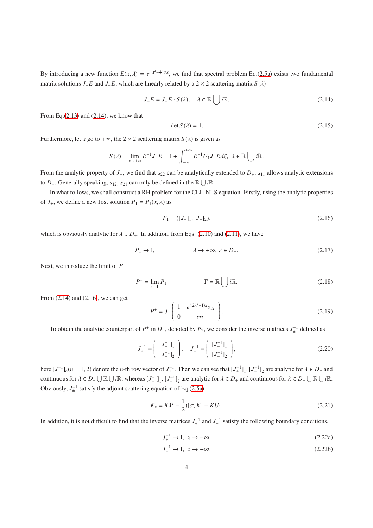By introducing a new function  $E(x, \lambda) = e^{i(\lambda^2 - \frac{1}{2})\sigma x}$ , we find that spectral problem Eq.[\(2.5a\)](#page-2-0) exists two fundamental matrix solutions  $J_+E$  and  $J_-E$ , which are linearly related by a 2 × 2 scattering matrix  $S(\lambda)$ 

<span id="page-3-0"></span>
$$
J_{-}E = J_{+}E \cdot S(\lambda), \quad \lambda \in \mathbb{R} \bigcup i\mathbb{R}.
$$
 (2.14)

From Eq. $(2.13)$  and  $(2.14)$ , we know that

$$
\det S(\lambda) = 1. \tag{2.15}
$$

Furthermore, let *x* go to + $\infty$ , the 2 × 2 scattering matrix *S*( $\lambda$ ) is given as

$$
S(\lambda) = \lim_{x \to +\infty} E^{-1} J_{-} E = I + \int_{-\infty}^{+\infty} E^{-1} U_{1} J_{-} E d\xi, \ \lambda \in \mathbb{R} \bigcup i \mathbb{R}.
$$

From the analytic property of *J*−, we find that *s*<sup>22</sup> can be analytically extended to *D*+, *s*<sup>11</sup> allows analytic extensions to *D*<sub>−</sub>. Generally speaking,  $s_{12}$ ,  $s_{21}$  can only be defined in the  $\mathbb{R} \cup i\mathbb{R}$ .

In what follows, we shall construct a RH problem for the CLL-NLS equation. Firstly, using the analytic properties of  $J_{\pm}$ , we define a new Jost solution  $P_1 = P_1(x, \lambda)$  as

<span id="page-3-1"></span>
$$
P_1 = ([J_+]_1, [J_-]_2). \tag{2.16}
$$

which is obviously analytic for  $\lambda \in D_+$ . In addition, from Eqs. [\(2.10\)](#page-2-4) and [\(2.11\)](#page-2-5), we have

$$
P_1 \to I, \qquad \lambda \to +\infty, \ \lambda \in D_+.
$$
 (2.17)

Next, we introduce the limit of *P*<sup>1</sup>

$$
P^+ = \lim_{\lambda \to \Gamma} P_1 \qquad \qquad \Gamma = \mathbb{R} \bigcup i\mathbb{R}.\tag{2.18}
$$

From [\(2.14\)](#page-3-0) and [\(2.16\)](#page-3-1), we can get

$$
P^{+} = J_{+} \left( \begin{array}{cc} 1 & e^{i(2\lambda^{2}-1)x} s_{12} \\ 0 & s_{22} \end{array} \right). \tag{2.19}
$$

To obtain the analytic counterpart of  $P^+$  in  $D^-$ , denoted by  $P_2$ , we consider the inverse matrices  $J_{\pm}^{-1}$  defined as

$$
J_{+}^{-1} = \left(\begin{array}{c} [J_{+}^{-1}]_{1} \\ [J_{+}^{-1}]_{2} \end{array}\right), \quad J_{-}^{-1} = \left(\begin{array}{c} [J_{-}^{-1}]_{1} \\ [J_{-}^{-1}]_{2} \end{array}\right), \tag{2.20}
$$

here  $[J_{\pm}^{-1}]_n$  ( $n = 1, 2$ ) denote the *n*-th row vector of  $J_{\pm}^{-1}$ . Then we can see that  $[J_{+}^{-1}]_1$ ,  $[J_{-}^{-1}]_2$  are analytic for  $\lambda \in D_-$  and continuous for  $\lambda \in D_- \cup \mathbb{R} \cup i\mathbb{R}$ , whereas  $[J_-^{-1}]_1$ ,  $[J_+^{-1}]_2$  are analytic for  $\lambda \in D_+$  and continuous for  $\lambda \in D_+ \cup \mathbb{R} \cup i\mathbb{R}$ . Obviously,  $J_{\pm}^{-1}$  satisfy the adjoint scattering equation of Eq.[\(2.5a\)](#page-2-0):

<span id="page-3-2"></span>
$$
K_x = i(\lambda^2 - \frac{1}{2})[\sigma, K] - K U_1.
$$
 (2.21)

In addition, it is not difficult to find that the inverse matrices  $J_+^{-1}$  and  $J_-^{-1}$  satisfy the following boundary conditions.

$$
J_+^{-1} \to I, \ x \to -\infty,\tag{2.22a}
$$

$$
J_{-}^{-1} \to I, \ x \to +\infty. \tag{2.22b}
$$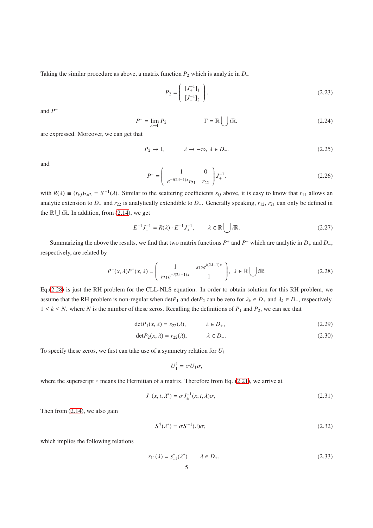Taking the similar procedure as above, a matrix function *P*<sup>2</sup> which is analytic in *D*<sup>−</sup>

$$
P_2 = \left(\begin{array}{c} [J_+^{-1}]_1 \\ [J_-^{-1}]_2 \end{array}\right). \tag{2.23}
$$

and *P* −

$$
P^- = \lim_{\lambda \to \Gamma} P_2 \qquad \qquad \Gamma = \mathbb{R} \bigcup i\mathbb{R}.\tag{2.24}
$$

are expressed. Moreover, we can get that

$$
P_2 \to I, \qquad \lambda \to -\infty, \lambda \in D_-.
$$
 (2.25)

and

$$
P^{-} = \begin{pmatrix} 1 & 0 \\ e^{-i(2\lambda - 1)x} r_{21} & r_{22} \end{pmatrix} J_{+}^{-1}.
$$
 (2.26)

with  $R(\lambda) \equiv (r_{kj})_{2 \times 2} = S^{-1}(\lambda)$ . Similar to the scattering coefficients  $s_{ij}$  above, it is easy to know that  $r_{11}$  allows an analytic extension to  $D_+$  and  $r_{22}$  is analytically extendible to  $D_-$ . Generally speaking,  $r_{12}$ ,  $r_{21}$  can only be defined in the  $\mathbb{R} \cup i\mathbb{R}$ . In addition, from [\(2.14\)](#page-3-0), we get

$$
E^{-1}J_{-}^{-1} = R(\lambda) \cdot E^{-1}J_{+}^{-1}, \qquad \lambda \in \mathbb{R} \bigcup i\mathbb{R}.
$$
 (2.27)

Summarizing the above the results, we find that two matrix functions  $P^+$  and  $P^-$  which are analytic in  $D_+$  and  $D_-$ , respectively, are related by

<span id="page-4-0"></span>
$$
P^{-}(x,\lambda)P^{+}(x,\lambda) = \begin{pmatrix} 1 & s_{12}e^{i(2\lambda-1)x} \\ r_{21}e^{-i(2\lambda-1)x} & 1 \end{pmatrix}, \lambda \in \mathbb{R} \bigcup i\mathbb{R}.
$$
 (2.28)

Eq.[\(2.28\)](#page-4-0) is just the RH problem for the CLL-NLS equation. In order to obtain solution for this RH problem, we assume that the RH problem is non-regular when  $\det P_1$  and  $\det P_2$  can be zero for  $\lambda_k \in D_+$ , and  $\lambda_k \in D_-$ , respectively.  $1 \leq k \leq N$ . where *N* is the number of these zeros. Recalling the definitions of  $P_1$  and  $P_2$ , we can see that

$$
\det P_1(x,\lambda) = s_{22}(\lambda), \qquad \lambda \in D_+, \tag{2.29}
$$

$$
\det P_2(x,\lambda) = r_{22}(\lambda), \qquad \lambda \in D_-.
$$
 (2.30)

To specify these zeros, we first can take use of a symmetry relation for *U*<sup>1</sup>

$$
U_1^{\dagger} = \sigma U_1 \sigma,
$$

where the superscript  $\dagger$  means the Hermitian of a matrix. Therefore from Eq. [\(2.21\)](#page-3-2), we arrive at

$$
J_{\pm}^{\dagger}(x,t,\lambda^*) = \sigma J_{\pm}^{-1}(x,t,\lambda)\sigma,
$$
\n(2.31)

Then from [\(2.14\)](#page-3-0), we also gain

<span id="page-4-1"></span>
$$
S^{\dagger}(\lambda^*) = \sigma S^{-1}(\lambda)\sigma,\tag{2.32}
$$

which implies the following relations

<span id="page-4-2"></span>
$$
r_{11}(\lambda) = s_{11}^*(\lambda^*) \qquad \lambda \in D_+, \tag{2.33}
$$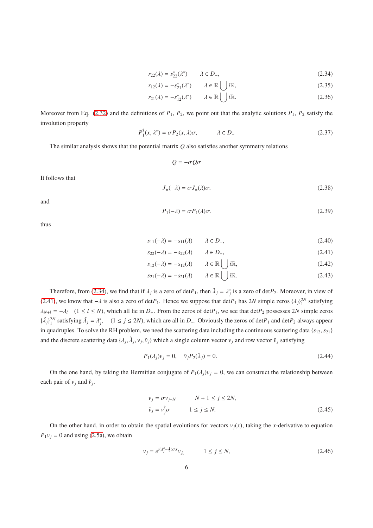$$
r_{22}(\lambda) = s_{22}^*(\lambda^*) \qquad \lambda \in D_-, \tag{2.34}
$$

$$
r_{12}(\lambda) = -s_{21}^*(\lambda^*) \qquad \lambda \in \mathbb{R} \bigcup i\mathbb{R},\tag{2.35}
$$

 $\mathbf{I}$   $\mathbf{I}$ 

$$
r_{21}(\lambda) = -s_{12}^*(\lambda^*) \qquad \lambda \in \mathbb{R} \bigcup i\mathbb{R}.\tag{2.36}
$$

Moreover from Eq. [\(2.32\)](#page-4-1) and the definitions of  $P_1$ ,  $P_2$ , we point out that the analytic solutions  $P_1$ ,  $P_2$  satisfy the involution property

$$
P_1^{\dagger}(x,\lambda^*) = \sigma P_2(x,\lambda)\sigma, \qquad \lambda \in D_- \tag{2.37}
$$

The similar analysis shows that the potential matrix *Q* also satisfies another symmetry relations

 $Q = -\sigma Q \sigma$ 

It follows that

$$
J_{\pm}(-\lambda) = \sigma J_{\pm}(\lambda)\sigma. \tag{2.38}
$$

and

$$
P_1(-\lambda) = \sigma P_1(\lambda)\sigma. \tag{2.39}
$$

thus

<span id="page-5-0"></span>
$$
s_{11}(-\lambda) = -s_{11}(\lambda) \qquad \lambda \in D_{-},
$$
\n(2.40)

$$
s_{22}(-\lambda) = -s_{22}(\lambda) \qquad \lambda \in D_+, \tag{2.41}
$$

$$
s_{12}(-\lambda) = -s_{12}(\lambda) \qquad \lambda \in \mathbb{R} \bigcup i\mathbb{R}, \tag{2.42}
$$

$$
s_{21}(-\lambda) = -s_{21}(\lambda) \qquad \lambda \in \mathbb{R} \left( \begin{array}{c} \end{array} \right) i\mathbb{R}.
$$
 (2.43)

Therefore, from [\(2.34\)](#page-4-2), we find that if  $\lambda_j$  is a zero of det $P_1$ , then  $\hat{\lambda}_j = \lambda_j^*$  is a zero of det $P_2$ . Moreover, in view of [\(2.41\)](#page-5-0), we know that  $-\lambda$  is also a zero of det $P_1$ . Hence we suppose that det $P_1$  has 2*N* simple zeros { $\lambda_j$ }<sup>2*N*</sup></sup> satisfying  $\lambda_{N+l} = -\lambda_l$  (1 ≤ *l* ≤ *N*), which all lie in *D*<sub>+</sub>. From the zeros of det*P*<sub>1</sub>, we see that det*P*<sub>2</sub> possesses 2*N* simple zeros  ${\lbrace \hat{\lambda}_j \rbrace}_1^{2N}$  satisfying  $\hat{\lambda}_j = \lambda_j^*$ , (1 ≤ *j* ≤ 2*N*), which are all in *D*−. Obviously the zeros of det*P*<sub>1</sub> and det*P*<sub>2</sub> always appear in quadruples. To solve the RH problem, we need the scattering data including the continuous scattering data {*s*<sub>12</sub>, *s*<sub>21</sub>} and the discrete scattering data  $\{\lambda_j, \hat{\lambda}_j, v_j, \hat{v}_j\}$  which a single column vector  $v_j$  and row vector  $\hat{v}_j$  satisfying

$$
P_1(\lambda_j)v_j = 0, \quad \hat{v}_j P_2(\hat{\lambda}_j) = 0.
$$
\n(2.44)

On the one hand, by taking the Hermitian conjugate of  $P_1(\lambda_i)v_i = 0$ , we can construct the relationship between each pair of  $v_j$  and  $\hat{v}_j$ .

<span id="page-5-1"></span>
$$
v_j = \sigma v_{j-N} \qquad N+1 \le j \le 2N,
$$
  

$$
\hat{v}_j = v_j^{\dagger} \sigma \qquad 1 \le j \le N.
$$
 (2.45)

On the other hand, in order to obtain the spatial evolutions for vectors  $v_i(x)$ , taking the *x*-derivative to equation  $P_1v_j = 0$  and using [\(2.5a\)](#page-2-0), we obtain

<span id="page-5-2"></span>
$$
v_j = e^{i(\lambda_j^2 - \frac{1}{2})\sigma x} v_{j_0} \qquad \quad 1 \le j \le N,\tag{2.46}
$$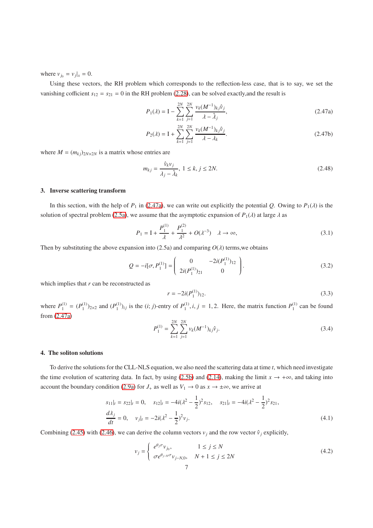where  $v_{j_0} = v_j |_{x} = 0$ .

Using these vectors, the RH problem which corresponds to the reflection-less case, that is to say, we set the vanishing cofficient  $s_{12} = s_{21} = 0$  in the RH problem [\(2.28\)](#page-4-0), can be solved exactly, and the result is

<span id="page-6-0"></span>
$$
P_1(\lambda) = I - \sum_{k=1}^{2N} \sum_{j=1}^{2N} \frac{\nu_k (M^{-1})_{kj} \hat{\nu}_j}{\lambda - \hat{\lambda}_j},
$$
\n(2.47a)

$$
P_2(\lambda) = I + \sum_{k=1}^{2N} \sum_{j=1}^{2N} \frac{\nu_k (M^{-1})_{kj} \hat{\nu}_j}{\lambda - \lambda_k}.
$$
 (2.47b)

where  $M = (m_{ki})_{2N \times 2N}$  is a matrix whose entries are

$$
m_{kj} = \frac{\hat{v}_k v_j}{\lambda_j - \hat{\lambda}_k}, \ 1 \le k, \ j \le 2N. \tag{2.48}
$$

# 3. Inverse scattering transform

In this section, with the help of  $P_1$  in [\(2.47a\)](#page-6-0), we can write out explicitly the potential *Q*. Owing to  $P_1(\lambda)$  is the solution of spectral problem [\(2.5a\)](#page-2-0), we assume that the asymptotic expansion of  $P_1(\lambda)$  at large  $\lambda$  as

$$
P_1 = I + \frac{P_1^{(1)}}{\lambda} + \frac{P_1^{(2)}}{\lambda^2} + O(\lambda^{-3}) \quad \lambda \to \infty,
$$
\n(3.1)

Then by substituting the above expansion into  $(2.5a)$  and comparing  $O(\lambda)$  terms, we obtains

$$
Q = -i[\sigma, P_1^{(1)}] = \begin{pmatrix} 0 & -2i(P_1^{(1)})_{12} \\ 2i(P_1^{(1)})_{21} & 0 \end{pmatrix}.
$$
 (3.2)

which implies that *r* can be reconstructed as

$$
r = -2i(P_1^{(1)})_{12}.\tag{3.3}
$$

where  $P_1^{(1)}$  $\binom{1}{1} = (P_1^{(1)}$  $\binom{1}{1}$ <sub>2×2</sub> and  $\binom{P_1^{(1)}}{1}$  $1^{(1)}$ <sub>1</sub>)<sub>*i*j</sub> is the (*i*; *j*)-entry of  $P_1^{(1)}$  $1_1^{(1)}$ , *i*, *j* = 1, 2. Here, the matrix function  $P_1^{(1)}$  $_1^{(1)}$  can be found from [\(2.47a\)](#page-6-0)

<span id="page-6-1"></span>
$$
P_1^{(1)} = \sum_{k=1}^{2N} \sum_{j=1}^{2N} v_k (M^{-1})_{kj} \hat{v}_j.
$$
 (3.4)

# 4. The soliton solutions

To derive the solutions for the CLL-NLS equation, we also need the scattering data at time *t*, which need investigate the time evolution of scattering data. In fact, by using [\(2.5b\)](#page-2-6) and [\(2.14\)](#page-3-0), making the limit  $x \to +\infty$ , and taking into account the boundary condition [\(2.9a\)](#page-2-1) for *J*<sub>+</sub> as well as  $V_1 \rightarrow 0$  as  $x \rightarrow \pm \infty$ , we arrive at

$$
s_{11}|_t = s_{22}|_t = 0, \quad s_{12}|_t = -4i(\lambda^2 - \frac{1}{2})^2 s_{12}, \quad s_{21}|_t = -4i(\lambda^2 - \frac{1}{2})^2 s_{21},
$$
  
\n
$$
\frac{d\lambda_j}{dt} = 0, \quad v_j|_t = -2i(\lambda^2 - \frac{1}{2})^2 v_j.
$$
\n(4.1)

Combining [\(2.45\)](#page-5-1) with [\(2.46\)](#page-5-2), we can derive the column vectors  $v_j$  and the row vector  $\hat{v}_j$  explicitly,

$$
v_j = \begin{cases} e^{\theta_j \sigma} v_{j_0}, & 1 \le j \le N \\ \sigma e^{\theta_{j-N}\sigma} v_{j-N,0}, & N+1 \le j \le 2N \end{cases}
$$
(4.2)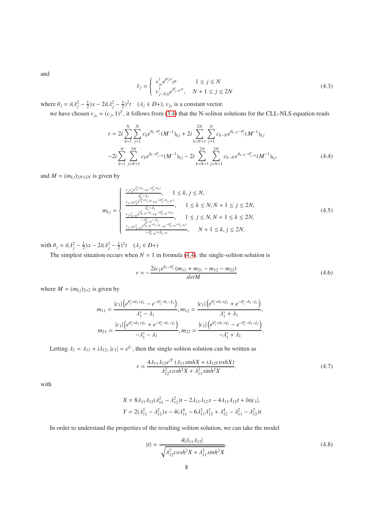and

$$
\hat{\nu}_j = \begin{cases}\n\nu_{j_0}^{\dagger} e^{\theta_j^* \sigma} \sigma & 1 \le j \le N \\
\nu_{j - N, 0}^{\dagger} e^{\theta_{j - N}^* \sigma}, & N + 1 \le j \le 2N\n\end{cases}
$$
\n(4.3)

where  $\theta_j = i(\lambda_j^2 - \frac{1}{2})x - 2i(\lambda_j^2 - \frac{1}{2})^2t$  ( $\lambda_j \in D+$ ),  $v_{j_0}$  is a constant vector.

we have chosen  $v_{j_0} = (c_j, 1)^T$ , it follows from [\(3.4\)](#page-6-1) that the N-soliton solutions for the CLL-NLS equation reads

<span id="page-7-0"></span>
$$
r = 2i \sum_{k=1}^{N} \sum_{j=1}^{N} c_k e^{\theta_k - \theta_j^*} (M^{-1})_{kj} + 2i \sum_{k=N+1}^{2N} \sum_{j=1}^{N} c_{k-N} e^{\theta_{k-N} - \theta_j^*} (M^{-1})_{kj}
$$
  

$$
-2i \sum_{k=1}^{N} \sum_{j=N+1}^{2N} c_k e^{\theta_k - \theta_{j-N}^*} (M^{-1})_{kj} - 2i \sum_{k=N+1}^{2N} \sum_{j=N+1}^{2N} c_{k-N} e^{\theta_{k-N} - \theta_{j-N}^*} (M^{-1})_{kj}.
$$
 (4.4)

and  $M = (m_{kj})_{2N \times 2N}$  is given by

<span id="page-7-1"></span>
$$
m_{kj} = \begin{cases} \frac{c_j c_k^* e^{\theta_k^* + \theta_j} - e^{-(\theta_k^* + \theta_j)}}{\lambda_k^* - \lambda_j}, & 1 \le k, j \le N, \\ \frac{c_{j-N} c_k^* e^{\theta_k^* + \theta_{j-N}} + e^{-(\theta_k^* + \theta_{j-N})}}{\lambda_k^* - \lambda_j}, & 1 \le k \le N, N+1 \le j \le 2N, \\ \frac{c_j c_{k-N}^* e^{\theta_k^* - N + \theta_j} + e^{-(\theta_k^* - N + \theta_j)}}{-\lambda_k^* - \lambda_j}, & 1 \le j \le N, N+1 \le k \le 2N, \\ \frac{c_{j-N} c_{k-N}^* e^{\theta_k^* - N + \theta_{j-N}} - e^{-(\theta_k^* - N + \theta_{j-N})}}{-\lambda_{k-N}^* + \lambda_{j-N}}, & N+1 \le k, j \le 2N. \end{cases} (4.5)
$$

with  $\theta_j = i(\lambda_j^2 - \frac{1}{2})x - 2i(\lambda_j^2 - \frac{1}{2})^2t$   $(\lambda_j \in D+)$ 

The simplest situation occurs when  $N = 1$  in formula [\(4.4\)](#page-7-0). the single-soliton solution is

$$
r = -\frac{2ic_1e^{\theta_1 - \theta_1^*}(m_{11} + m_{21} - m_{12} - m_{22})}{det M}
$$
(4.6)

where  $M = (m_{kj})_{2 \times 2}$  is given by

$$
m_{11} = \frac{|c_1| \left(e^{\theta_1^* + \theta_1 + \xi_1} - e^{-\theta_1^* - \theta_1 - \xi_1}\right)}{\lambda_1^* - \lambda_1}, m_{12} = \frac{|c_1| \left(e^{\theta_1^* + \theta_1 + \xi_1} + e^{-\theta_1^* - \theta_1 - \xi_1}\right)}{\lambda_1^* + \lambda_1},
$$
  
\n
$$
m_{21} = \frac{|c_1| \left(e^{\theta_1^* + \theta_1 + \xi_1} + e^{-\theta_1^* - \theta_1 - \xi_1}\right)}{-\lambda_1^* - \lambda_1}, m_{22} = \frac{|c_1| \left(e^{\theta_1^* + \theta_1 + \xi_1} - e^{-\theta_1^* - \theta_1 - \xi_1}\right)}{-\lambda_1^* + \lambda_1}.
$$

Letting  $\lambda_1 = \lambda_{11} + i\lambda_{12}$ ,  $|c_1| = e^{\xi_1}$ , then the single-soliton solution can be written as

$$
r = \frac{4\lambda_{11}\lambda_{12}e^{iY}(\lambda_{11}sinh X + i\lambda_{12}cosh X)}{\lambda_{12}^{2}cosh^{2} X + \lambda_{11}^{2}sinh^{2} X}.
$$
 (4.7)

with

$$
X = 8\lambda_{11}\lambda_{12}(\lambda_{11}^2 - \lambda_{12}^2)t - 2\lambda_{11}\lambda_{12}x - 4\lambda_{11}\lambda_{12}t + ln|c_1|,
$$
  

$$
Y = 2(\lambda_{11}^2 - \lambda_{12}^2)x - 4(\lambda_{11}^4 - 6\lambda_{11}^2\lambda_{12}^2 + \lambda_{12}^4 - \lambda_{11}^2 - \lambda_{12}^2)t.
$$

In order to understand the properties of the resulting soliton solution, we can take the model

$$
|r| = \frac{4|\lambda_{11}\lambda_{12}|}{\sqrt{\lambda_{12}^2 \cosh^2 X + \lambda_{11}^2 \sinh^2 X}}.
$$
\n(4.8)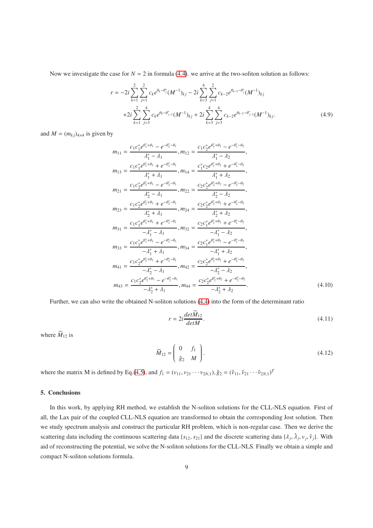Now we investigate the case for  $N = 2$  in formula [\(4.4\)](#page-7-0). we arrive at the two-soliton solution as follows:

$$
r = -2i \sum_{k=1}^{2} \sum_{j=1}^{2} c_k e^{\theta_k - \theta_j^*} (M^{-1})_{kj} - 2i \sum_{k=3}^{4} \sum_{j=1}^{2} c_{k-2} e^{\theta_{k-2} - \theta_j^*} (M^{-1})_{kj}
$$
  
+2i  $\sum_{k=1}^{2} \sum_{j=3}^{4} c_k e^{\theta_k - \theta_{j-2}^*} (M^{-1})_{kj} + 2i \sum_{k=3}^{4} \sum_{j=3}^{4} c_{k-2} e^{\theta_{k-2} - \theta_{j-2}^*} (M^{-1})_{kj}.$  (4.9)

and  $M = (m_{kj})_{4\times4}$  is given by

$$
m_{11} = \frac{c_1 c_1^* e^{\theta_1^* + \theta_1} - e^{-\theta_1^* - \theta_1}}{\lambda_1^* - \lambda_1}, m_{12} = \frac{c_1 c_2^* e^{\theta_1^* + \theta_2} - e^{-\theta_1^* - \theta_2}}{\lambda_1^* - \lambda_2},
$$
\n
$$
m_{13} = \frac{c_1 c_1^* e^{\theta_1^* + \theta_1} + e^{-\theta_1^* - \theta_1}}{\lambda_1^* + \lambda_1}, m_{14} = \frac{c_1^* c_2 e^{\theta_1^* + \theta_2} + e^{-\theta_1^* - \theta_2}}{\lambda_1^* + \lambda_2},
$$
\n
$$
m_{21} = \frac{c_1 c_2^* e^{\theta_2^* + \theta_1} - e^{-\theta_2^* - \theta_1}}{\lambda_2^* - \lambda_1}, m_{22} = \frac{c_2 c_2^* e^{\theta_2^* + \theta_2} - e^{-\theta_2^* - \theta_2}}{\lambda_2^* - \lambda_2},
$$
\n
$$
m_{23} = \frac{c_1 c_2^* e^{\theta_2^* + \theta_1} + e^{-\theta_2^* - \theta_1}}{\lambda_2^* + \lambda_1}, m_{24} = \frac{c_2 c_2^* e^{\theta_2^* + \theta_2} + e^{-\theta_2^* - \theta_2}}{\lambda_2^* + \lambda_2},
$$
\n
$$
m_{31} = \frac{c_1 c_1^* e^{\theta_1^* + \theta_1} + e^{-\theta_1^* - \theta_1}}{-\lambda_1^* - \lambda_1}, m_{32} = \frac{c_2 c_1^* e^{\theta_1^* + \theta_2} + e^{-\theta_1^* - \theta_2}}{-\lambda_1^* - \lambda_2},
$$
\n
$$
m_{33} = \frac{c_1 c_1^* e^{\theta_1^* + \theta_1} - e^{-\theta_1^* - \theta_1}}{-\lambda_1^* + \lambda_1}, m_{34} = \frac{c_2 c_1^* e^{\theta_1^* + \theta_2} - e^{-\theta_1^* - \theta_2}}{-\lambda_2^* - \lambda_2},
$$
\n<math display="block</math>

Further, we can also write the obtained N-soliton solutions [\(4.4\)](#page-7-0) into the form of the determinant ratio

$$
r = 2i \frac{det \widetilde{M}_{12}}{det M}.
$$
\n(4.11)

where  $\widetilde{M}_{12}$  is

$$
\widetilde{M}_{12} = \begin{pmatrix} 0 & f_1 \\ \hat{g}_2 & M \end{pmatrix} . \tag{4.12}
$$

where the matrix M is defined by Eq.[\(4.5\)](#page-7-1), and  $f_1 = (v_{11}, v_{21} \cdots v_{2N,1}), \hat{g}_2 = (\hat{v}_{11}, \hat{v}_{21} \cdots \hat{v}_{2N,1})^T$ 

# 5. Conclusions

In this work, by applying RH method, we establish the N-soliton solutions for the CLL-NLS equation. First of all, the Lax pair of the coupled CLL-NLS equation are transformed to obtain the corresponding Jost solution. Then we study spectrum analysis and construct the particular RH problem, which is non-regular case. Then we derive the scattering data including the continuous scattering data { $s_{12}$ ,  $s_{21}$ } and the discrete scattering data { $\lambda_j$ ,  $\lambda_j$ ,  $v_j$ ,  $\hat{v}_j$ }. With aid of reconstructing the potential, we solve the N-soliton solutions for the CLL-NLS. Finally we obtain a simple and compact N-soliton solutions formula.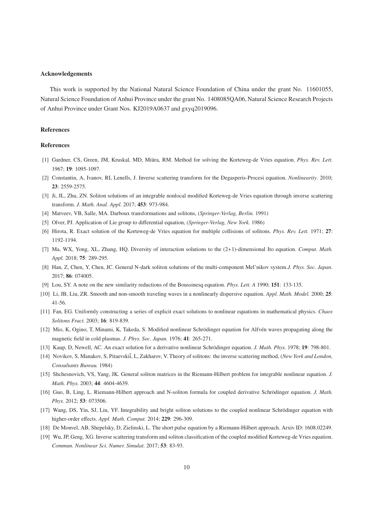#### Acknowledgements

This work is supported by the National Natural Science Foundation of China under the grant No. 11601055, Natural Science Foundation of Anhui Province under the grant No. 1408085QA06, Natural Science Research Projects of Anhui Province under Grant Nos. KJ2019A0637 and gxyq2019096.

### References

#### References

- <span id="page-9-0"></span>[1] Gardner, CS, Green, JM, Kruskal, MD, Miüra, RM. Method for solving the Korteweg-de Vries equation. *Phys. Rev. Lett.* 1967; 19: 1095-1097.
- <span id="page-9-1"></span>[2] Constantin, A, Ivanov, RI, Lenells, J. Inverse scattering transform for the Degasperis-Procesi equation. *Nonlinearity*. 2010; 23: 2559-2575.
- <span id="page-9-2"></span>[3] Ji, JL, Zhu, ZN. Soliton solutions of an integrable nonlocal modified Korteweg-de Vries equation through inverse scattering transform. *J. Math. Anal. Appl.* 2017; 453: 973-984.
- <span id="page-9-3"></span>[4] Matveev, VB, Salle, MA. Darboux transformations and solitons, (*Springer-Verlag, Berlin.* 1991)
- <span id="page-9-4"></span>[5] Olver, PJ. Application of Lie group to differential equation, (*Springer-Verlag, New York.* 1986)
- <span id="page-9-5"></span>[6] Hirota, R. Exact solution of the Korteweg-de Vries equation for multiple collisions of solitons. *Phys. Rev. Lett.* 1971; 27: 1192-1194.
- <span id="page-9-6"></span>[7] Ma, WX, Yong, XL, Zhang, HQ. Diversity of interaction solutions to the (2+1)-dimensional Ito equation. *Comput. Math. Appl.* 2018; 75: 289-295.
- <span id="page-9-7"></span>[8] Han, Z, Chen, Y, Chen, JC. General N-dark soliton solutions of the multi-component Mel'nikov system.*J. Phys. Soc. Japan.* 2017; 86: 074005.
- <span id="page-9-8"></span>[9] Lou, SY. A note on the new similarity reductions of the Boussinesq equation. *Phys. Lett. A* 1990; 151: 133-135.
- <span id="page-9-9"></span>[10] Li, JB, Liu, ZR. Smooth and non-smooth traveling waves in a nonlinearly dispersive equation. *Appl. Math. Model.* 2000; 25: 41-56.
- <span id="page-9-10"></span>[11] Fan, EG. Uniformly constructing a series of explicit exact solutions to nonlinear equations in mathematical physics. *Chaos Solitons Fract.* 2003; 16: 819-839.
- <span id="page-9-11"></span>[12] Mio, K, Ogino, T, Minami, K, Takeda, S. Modified nonlinear Schrödinger equation for Alfvén waves propagating along the magnetic field in cold plasmas. *J. Phys. Soc. Japan.* 1976; 41: 265-271.
- <span id="page-9-12"></span>[13] Kaup, D, Newell, AC. An exact solution for a derivative nonlinear Schrödinger equation. *J. Math. Phys.* 1978; 19: 798-801.
- <span id="page-9-13"></span>[14] Novikov, S, Manakov, S, Pitaevskii, L, Zakharov, V. Theory of solitons: the inverse scattering method, (*New York and London*, *Consultants Bureau.* 1984)
- <span id="page-9-14"></span>[15] Shchesnovich, VS, Yang, JK. General soliton matrices in the Riemann-Hilbert problem for integrable nonlinear equation. *J. Math. Phys.* 2003; 44: 4604-4639.
- <span id="page-9-15"></span>[16] Guo, B, Ling, L. Riemann-Hilbert approach and N-soliton formula for coupled derivative Schrödinger equation. *J. Math. Phys.* 2012; 53: 073506.
- <span id="page-9-16"></span>[17] Wang, DS, Yin, SJ, Liu, YF. Integrability and bright soliton solutions to the coupled nonlinear Schrödinger equation with higher-order effects. *Appl. Math. Comput.* 2014; 229: 296-309.
- <span id="page-9-17"></span>[18] De Monvel, AB, Shepelsky, D, Zielinski, L. The short pulse equation by a Riemann-Hilbert approach. Arxiv ID: 1608.02249.
- <span id="page-9-18"></span>[19] Wu, JP, Geng, XG. Inverse scattering transform and soliton classification of the coupled modified Korteweg-de Vries equation. *Commun. Nonlinear Sci. Numer. Simulat.* 2017; 53: 83-93.